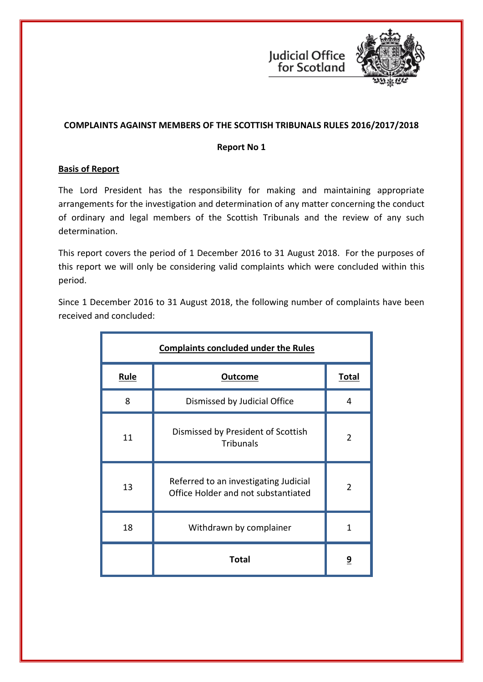



# **COMPLAINTS AGAINST MEMBERS OF THE SCOTTISH TRIBUNALS RULES 2016/2017/2018**

### **Report No 1**

# **Basis of Report**

The Lord President has the responsibility for making and maintaining appropriate arrangements for the investigation and determination of any matter concerning the conduct of ordinary and legal members of the Scottish Tribunals and the review of any such determination.

This report covers the period of 1 December 2016 to 31 August 2018. For the purposes of this report we will only be considering valid complaints which were concluded within this period.

Since 1 December 2016 to 31 August 2018, the following number of complaints have been received and concluded:

| <b>Complaints concluded under the Rules</b> |                                                                              |                |  |
|---------------------------------------------|------------------------------------------------------------------------------|----------------|--|
| <b>Rule</b>                                 | <b>Outcome</b>                                                               | <b>Total</b>   |  |
| 8                                           | Dismissed by Judicial Office                                                 | 4              |  |
| 11                                          | Dismissed by President of Scottish<br><b>Tribunals</b>                       | $\overline{2}$ |  |
| 13                                          | Referred to an investigating Judicial<br>Office Holder and not substantiated | $\overline{2}$ |  |
| 18                                          | Withdrawn by complainer                                                      | 1              |  |
|                                             | Total                                                                        | <u>9</u>       |  |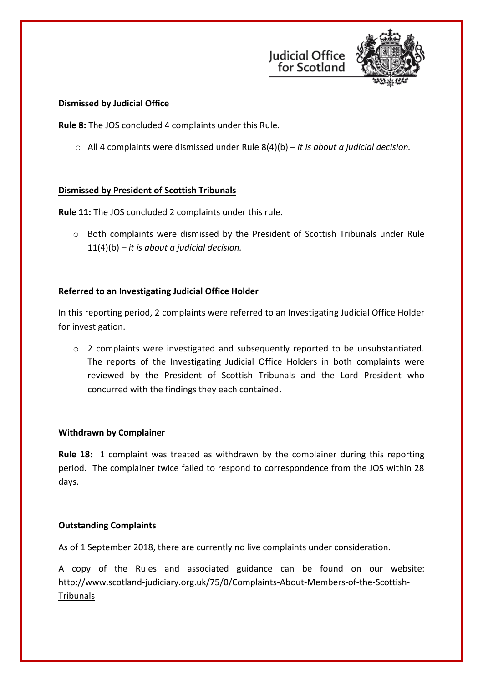



### **Dismissed by Judicial Office**

**Rule 8:** The JOS concluded 4 complaints under this Rule.

o All 4 complaints were dismissed under Rule 8(4)(b) – *it is about a judicial decision.*

### **Dismissed by President of Scottish Tribunals**

**Rule 11:** The JOS concluded 2 complaints under this rule.

o Both complaints were dismissed by the President of Scottish Tribunals under Rule 11(4)(b) – *it is about a judicial decision.*

# **Referred to an Investigating Judicial Office Holder**

In this reporting period, 2 complaints were referred to an Investigating Judicial Office Holder for investigation.

o 2 complaints were investigated and subsequently reported to be unsubstantiated. The reports of the Investigating Judicial Office Holders in both complaints were reviewed by the President of Scottish Tribunals and the Lord President who concurred with the findings they each contained.

# **Withdrawn by Complainer**

**Rule 18:** 1 complaint was treated as withdrawn by the complainer during this reporting period. The complainer twice failed to respond to correspondence from the JOS within 28 days.

# **Outstanding Complaints**

As of 1 September 2018, there are currently no live complaints under consideration.

A copy of the Rules and associated guidance can be found on our website: [http://www.scotland-judiciary.org.uk/75/0/Complaints-About-Members-of-the-Scottish-](http://www.scotland-judiciary.org.uk/75/0/Complaints-About-Members-of-the-Scottish-Tribunals)**[Tribunals](http://www.scotland-judiciary.org.uk/75/0/Complaints-About-Members-of-the-Scottish-Tribunals)**